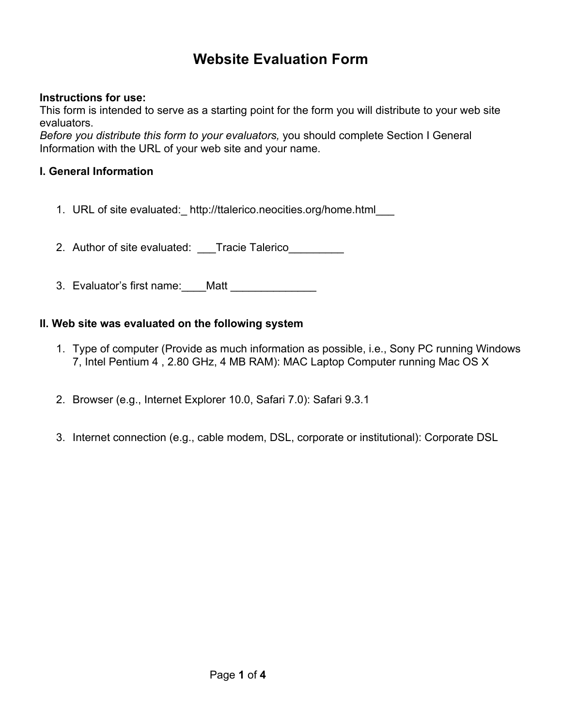# **Website Evaluation Form**

## **Instructions for use:**

This form is intended to serve as a starting point for the form you will distribute to your web site evaluators.

*Before you distribute this form to your evaluators,* you should complete Section I General Information with the URL of your web site and your name.

# **I. General Information**

1. URL of site evaluated:\_ http://ttalerico.neocities.org/home.html\_\_\_

2. Author of site evaluated: Tracie Talerico

3. Evaluator's first name:\_\_\_\_Matt \_\_\_\_\_\_\_\_\_\_\_\_\_\_

#### **II. Web site was evaluated on the following system**

- 1. Type of computer (Provide as much information as possible, i.e., Sony PC running Windows 7, Intel Pentium 4 , 2.80 GHz, 4 MB RAM): MAC Laptop Computer running Mac OS X
- 2. Browser (e.g., Internet Explorer 10.0, Safari 7.0): Safari 9.3.1
- 3. Internet connection (e.g., cable modem, DSL, corporate or institutional): Corporate DSL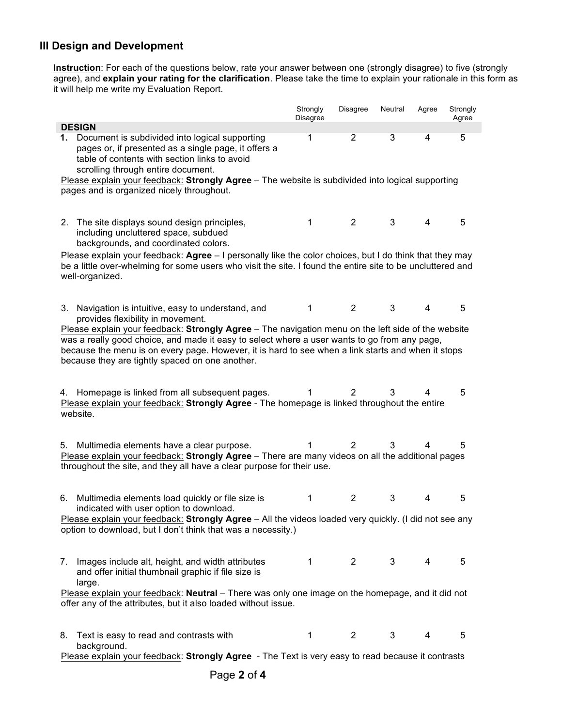## **III Design and Development**

**Instruction**: For each of the questions below, rate your answer between one (strongly disagree) to five (strongly agree), and **explain your rating for the clarification**. Please take the time to explain your rationale in this form as it will help me write my Evaluation Report.

|                                                                                                                                                                                                                                                                                                                                                                                                                                                                            | Strongly<br>Disagree | Disagree       | Neutral | Agree | Strongly<br>Agree |  |  |
|----------------------------------------------------------------------------------------------------------------------------------------------------------------------------------------------------------------------------------------------------------------------------------------------------------------------------------------------------------------------------------------------------------------------------------------------------------------------------|----------------------|----------------|---------|-------|-------------------|--|--|
| <b>DESIGN</b><br>Document is subdivided into logical supporting<br>$\overline{2}$<br>3<br>5<br>1<br>4<br>1.<br>pages or, if presented as a single page, it offers a<br>table of contents with section links to avoid<br>scrolling through entire document.<br>Please explain your feedback: Strongly Agree - The website is subdivided into logical supporting<br>pages and is organized nicely throughout.                                                                |                      |                |         |       |                   |  |  |
| The site displays sound design principles,<br>2.<br>including uncluttered space, subdued<br>backgrounds, and coordinated colors.<br>Please explain your feedback: Agree $-1$ personally like the color choices, but I do think that they may<br>be a little over-whelming for some users who visit the site. I found the entire site to be uncluttered and                                                                                                                 | 1                    | $\overline{2}$ | 3       | 4     | 5                 |  |  |
| well-organized.<br>3. Navigation is intuitive, easy to understand, and<br>provides flexibility in movement.<br>Please explain your feedback: Strongly Agree - The navigation menu on the left side of the website<br>was a really good choice, and made it easy to select where a user wants to go from any page,<br>because the menu is on every page. However, it is hard to see when a link starts and when it stops<br>because they are tightly spaced on one another. | 1                    | $\overline{2}$ | 3       | 4     | 5                 |  |  |
| 4. Homepage is linked from all subsequent pages.<br>Please explain your feedback: Strongly Agree - The homepage is linked throughout the entire<br>website.                                                                                                                                                                                                                                                                                                                | 1                    | 2              | 3       | 4     | 5                 |  |  |
| Multimedia elements have a clear purpose.<br>5.<br>Please explain your feedback: Strongly Agree - There are many videos on all the additional pages<br>throughout the site, and they all have a clear purpose for their use.                                                                                                                                                                                                                                               | 1                    | $\overline{2}$ | 3       | 4     | 5                 |  |  |
| Multimedia elements load quickly or file size is<br>6.<br>indicated with user option to download.<br>Please explain your feedback: Strongly Agree - All the videos loaded very quickly. (I did not see any<br>option to download, but I don't think that was a necessity.)                                                                                                                                                                                                 | 1                    | $\overline{c}$ | 3       | 4     | 5                 |  |  |
| Images include alt, height, and width attributes<br>7.<br>and offer initial thumbnail graphic if file size is<br>large.<br>Please explain your feedback: Neutral - There was only one image on the homepage, and it did not                                                                                                                                                                                                                                                | 1                    | $\overline{2}$ | 3       | 4     | 5                 |  |  |
| offer any of the attributes, but it also loaded without issue.<br>Text is easy to read and contrasts with<br>8.<br>background.<br>Please explain your feedback: Strongly Agree - The Text is very easy to read because it contrasts                                                                                                                                                                                                                                        | 1                    | $\mathbf{2}$   | 3       | 4     | 5                 |  |  |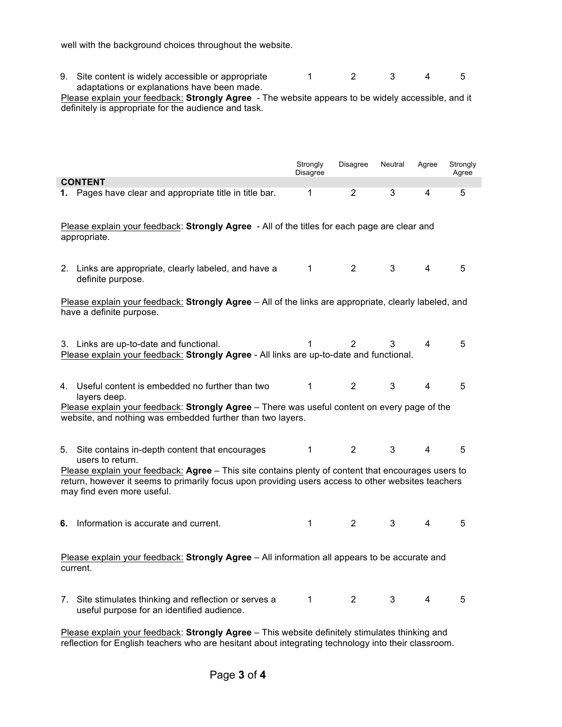well with the background choices throughout the website.

| 9. Site content is widely accessible or appropriate |  |  |  |
|-----------------------------------------------------|--|--|--|
| adaptations or explanations have been made.         |  |  |  |

Please explain your feedback: **Strongly Agree** - The website appears to be widely accessible, and it definitely is appropriate for the audience and task.

|                                                                                                                                   |                                                                                                                                                                                                                                                                                                                  | Strongly<br>Disagree | <b>Disagree</b> | Neutral | Agree          | Strongly<br>Agree |  |
|-----------------------------------------------------------------------------------------------------------------------------------|------------------------------------------------------------------------------------------------------------------------------------------------------------------------------------------------------------------------------------------------------------------------------------------------------------------|----------------------|-----------------|---------|----------------|-------------------|--|
|                                                                                                                                   | <b>CONTENT</b>                                                                                                                                                                                                                                                                                                   |                      |                 |         |                |                   |  |
|                                                                                                                                   | 1. Pages have clear and appropriate title in title bar.                                                                                                                                                                                                                                                          | 1                    | $\overline{2}$  | 3       | 4              | 5                 |  |
| Please explain your feedback: Strongly Agree - All of the titles for each page are clear and<br>appropriate.                      |                                                                                                                                                                                                                                                                                                                  |                      |                 |         |                |                   |  |
|                                                                                                                                   | 2. Links are appropriate, clearly labeled, and have a<br>definite purpose.                                                                                                                                                                                                                                       | 1                    | $\overline{2}$  | 3       | $\overline{4}$ | 5                 |  |
| Please explain your feedback: Strongly Agree - All of the links are appropriate, clearly labeled, and<br>have a definite purpose. |                                                                                                                                                                                                                                                                                                                  |                      |                 |         |                |                   |  |
|                                                                                                                                   | 3. Links are up-to-date and functional.<br>Please explain your feedback: Strongly Agree - All links are up-to-date and functional.                                                                                                                                                                               | 1                    | 2               | 3       | 4              | 5                 |  |
|                                                                                                                                   | 4. Useful content is embedded no further than two<br>layers deep.<br>Please explain your feedback: Strongly Agree - There was useful content on every page of the<br>website, and nothing was embedded further than two layers.                                                                                  | $\mathbf 1$          | $\overline{2}$  | 3       | 4              | 5                 |  |
|                                                                                                                                   | 5. Site contains in-depth content that encourages<br>users to return.<br>Please explain your feedback: Agree - This site contains plenty of content that encourages users to<br>return, however it seems to primarily focus upon providing users access to other websites teachers<br>may find even more useful. | $\mathbf{1}$         | $\overline{2}$  | 3       | 4              | 5                 |  |
| 6.                                                                                                                                | Information is accurate and current.                                                                                                                                                                                                                                                                             | 1                    | $\overline{2}$  | 3       | 4              | 5                 |  |
| Please explain your feedback: Strongly Agree - All information all appears to be accurate and<br>current.                         |                                                                                                                                                                                                                                                                                                                  |                      |                 |         |                |                   |  |
|                                                                                                                                   | 7. Site stimulates thinking and reflection or serves a<br>useful purpose for an identified audience.                                                                                                                                                                                                             | 1                    | $\overline{2}$  | 3       | 4              | 5                 |  |

Please explain your feedback: **Strongly Agree** – This website definitely stimulates thinking and reflection for English teachers who are hesitant about integrating technology into their classroom.